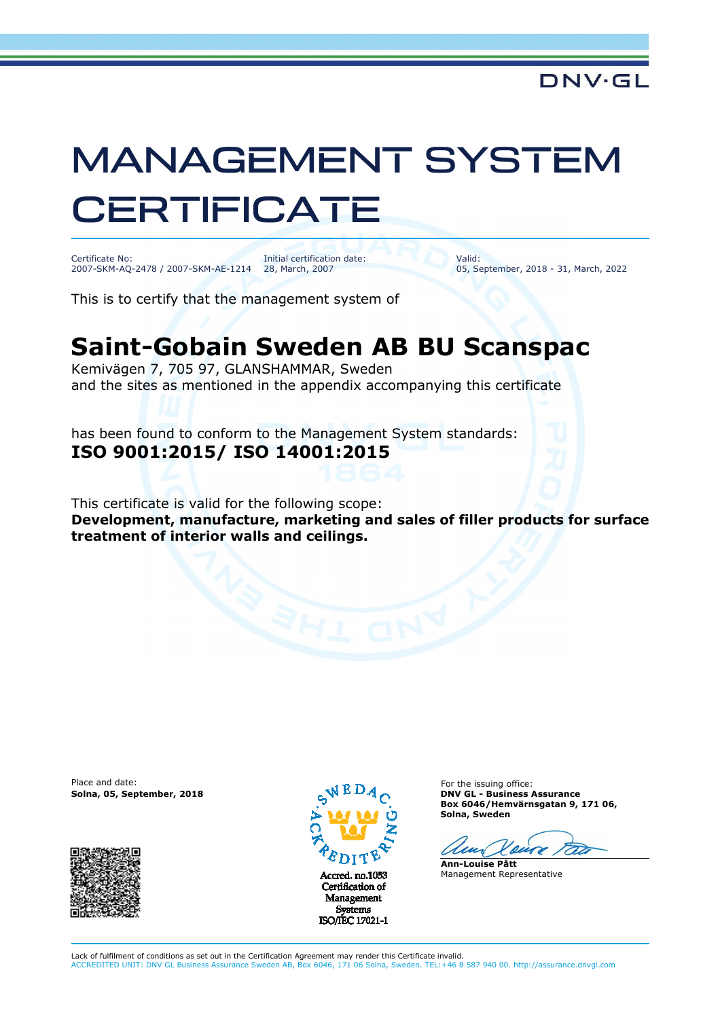## MANAGEMENT SYSTEM **CERTIFICATE**

Certificate No: 2007-SKM-AQ-2478 / 2007-SKM-AE-1214 Initial certification date: 28, March, 2007

Valid: 05, September, 2018 - 31, March, 2022

This is to certify that the management system of

## **Saint-Gobain Sweden AB BU Scanspac**

Kemivägen 7, 705 97, GLANSHAMMAR, Sweden and the sites as mentioned in the appendix accompanying this certificate

has been found to conform to the Management System standards: **ISO 9001:2015/ ISO 14001:2015**

This certificate is valid for the following scope: **Development, manufacture, marketing and sales of filler products for surface treatment of interior walls and ceilings.** 

Place and date:





Certification of Management **Systems** ISO/IEC 17021-1

For the issuing office: **Solna, 05, September, 2018 DNV GL - Business Assurance Box 6046/Hemvärnsgatan 9, 171 06, Solna, Sweden** 

 $\mathcal{L}$ 

**Ann-Louise Pått** Management Representative

Lack of fulfilment of conditions as set out in the Certification Agreement may render this Certificate invalid. ACCREDITED UNIT: DNV GL Business Assurance Sweden AB, Box 6046, 171 06 Solna, Sweden. TEL:+46 8 587 940 00. http://assurance.dnvgl.com